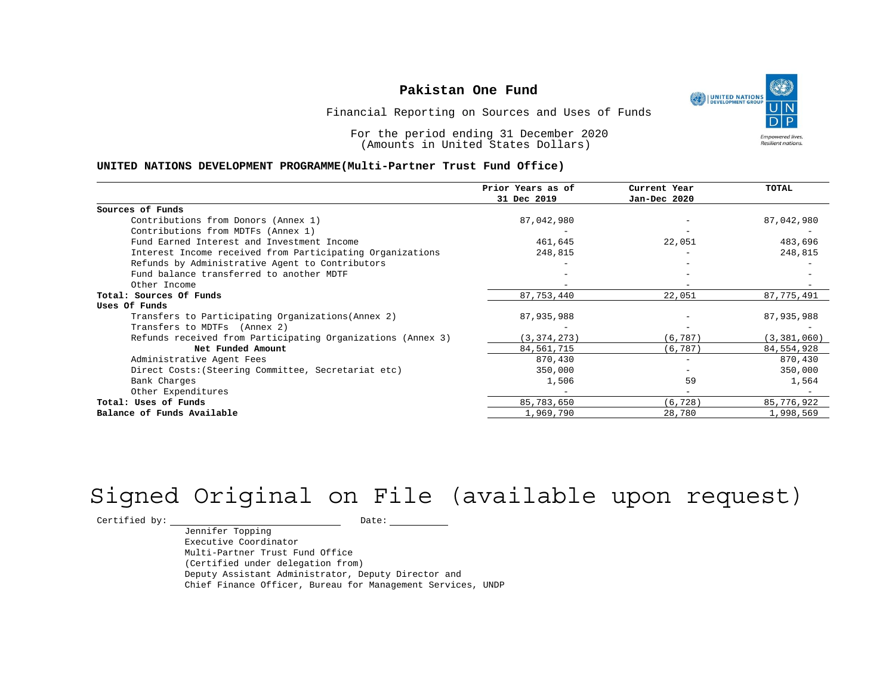UNITED NATIONS **Empowered lives** Resilient nations.

Financial Reporting on Sources and Uses of Funds

For the period ending 31 December 2020 (Amounts in United States Dollars)

#### **UNITED NATIONS DEVELOPMENT PROGRAMME(Multi-Partner Trust Fund Office)**

|                                                             | Prior Years as of | Current Year             | TOTAL         |
|-------------------------------------------------------------|-------------------|--------------------------|---------------|
|                                                             | 31 Dec 2019       | Jan-Dec 2020             |               |
| Sources of Funds                                            |                   |                          |               |
| Contributions from Donors (Annex 1)                         | 87,042,980        |                          | 87,042,980    |
| Contributions from MDTFs (Annex 1)                          |                   |                          |               |
| Fund Earned Interest and Investment Income                  | 461,645           | 22,051                   | 483,696       |
| Interest Income received from Participating Organizations   | 248,815           |                          | 248,815       |
| Refunds by Administrative Agent to Contributors             |                   |                          |               |
| Fund balance transferred to another MDTF                    |                   |                          |               |
| Other Income                                                |                   |                          |               |
| Total: Sources Of Funds                                     | 87, 753, 440      | 22,051                   | 87,775,491    |
| Uses Of Funds                                               |                   |                          |               |
| Transfers to Participating Organizations (Annex 2)          | 87,935,988        |                          | 87,935,988    |
| Transfers to MDTFs (Annex 2)                                |                   |                          |               |
| Refunds received from Participating Organizations (Annex 3) | (3, 374, 273)     | (6, 787)                 | (3, 381, 060) |
| Net Funded Amount                                           | 84, 561, 715      | (6, 787)                 | 84,554,928    |
| Administrative Agent Fees                                   | 870,430           | $\overline{\phantom{0}}$ | 870,430       |
| Direct Costs: (Steering Committee, Secretariat etc)         | 350,000           |                          | 350,000       |
| Bank Charges                                                | 1,506             | 59                       | 1,564         |
| Other Expenditures                                          |                   |                          |               |
| Total: Uses of Funds                                        | 85,783,650        | (6, 728)                 | 85,776,922    |
| Balance of Funds Available                                  | 1,969,790         | 28,780                   | 1,998,569     |

# Signed Original on File (available upon request)

 $\begin{tabular}{c} \multicolumn{2}{c}{{\texttt{Certified by:}}}} \quad \quad \texttt{Date:} \end{tabular}$ 

Jennifer Topping Executive Coordinator Multi-Partner Trust Fund Office (Certified under delegation from) Deputy Assistant Administrator, Deputy Director and Chief Finance Officer, Bureau for Management Services, UNDP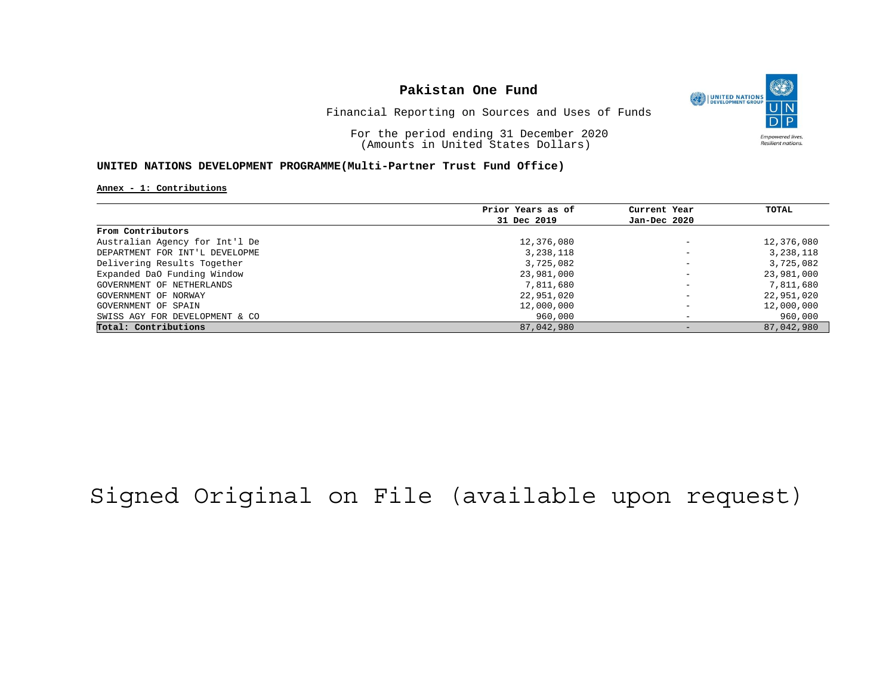

Financial Reporting on Sources and Uses of Funds

For the period ending 31 December 2020 (Amounts in United States Dollars)

### **UNITED NATIONS DEVELOPMENT PROGRAMME(Multi-Partner Trust Fund Office)**

#### **Annex - 1: Contributions**

|                                | Prior Years as of | Current Year             | TOTAL      |
|--------------------------------|-------------------|--------------------------|------------|
|                                | 31 Dec 2019       | Jan-Dec 2020             |            |
| From Contributors              |                   |                          |            |
| Australian Agency for Int'l De | 12,376,080        | $\overline{\phantom{m}}$ | 12,376,080 |
| DEPARTMENT FOR INT'L DEVELOPME | 3,238,118         | $\overline{\phantom{0}}$ | 3,238,118  |
| Delivering Results Together    | 3,725,082         | $\overline{\phantom{0}}$ | 3,725,082  |
| Expanded DaO Funding Window    | 23,981,000        | $\overline{\phantom{a}}$ | 23,981,000 |
| GOVERNMENT OF NETHERLANDS      | 7,811,680         | $\overline{\phantom{a}}$ | 7,811,680  |
| GOVERNMENT OF NORWAY           | 22,951,020        | $\overline{\phantom{m}}$ | 22,951,020 |
| GOVERNMENT OF SPAIN            | 12,000,000        | $\overline{\phantom{0}}$ | 12,000,000 |
| SWISS AGY FOR DEVELOPMENT & CO | 960,000           | $\overline{\phantom{0}}$ | 960,000    |
| Total: Contributions           | 87,042,980        | $\qquad \qquad -$        | 87,042,980 |

# Signed Original on File (available upon request)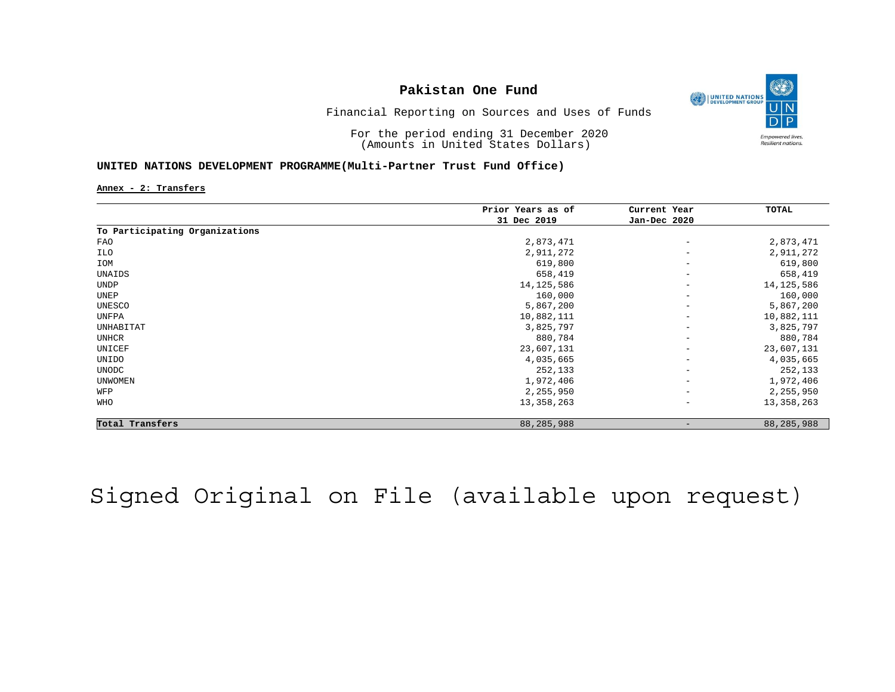

Financial Reporting on Sources and Uses of Funds

For the period ending 31 December 2020 (Amounts in United States Dollars)

### **UNITED NATIONS DEVELOPMENT PROGRAMME(Multi-Partner Trust Fund Office)**

**Annex - 2: Transfers**

|                                | Prior Years as of<br>31 Dec 2019 | Current Year<br>Jan-Dec 2020 | TOTAL        |
|--------------------------------|----------------------------------|------------------------------|--------------|
|                                |                                  |                              |              |
| To Participating Organizations |                                  |                              |              |
| FAO                            | 2,873,471                        | $\qquad \qquad -$            | 2,873,471    |
| ILO                            | 2,911,272                        | $\overline{\phantom{m}}$     | 2,911,272    |
| IOM                            | 619,800                          | $\overline{\phantom{0}}$     | 619,800      |
| UNAIDS                         | 658,419                          | $\overline{\phantom{m}}$     | 658,419      |
| <b>UNDP</b>                    | 14, 125, 586                     | $\qquad \qquad -$            | 14, 125, 586 |
| UNEP                           | 160,000                          | $\overline{\phantom{m}}$     | 160,000      |
| UNESCO                         | 5,867,200                        | $\qquad \qquad -$            | 5,867,200    |
| UNFPA                          | 10,882,111                       | $\overline{\phantom{m}}$     | 10,882,111   |
| UNHABITAT                      | 3,825,797                        | $\qquad \qquad -$            | 3,825,797    |
| UNHCR                          | 880,784                          | $\overline{\phantom{m}}$     | 880,784      |
| UNICEF                         | 23,607,131                       | $\overline{\phantom{m}}$     | 23,607,131   |
| UNIDO                          | 4,035,665                        | $\overline{\phantom{m}}$     | 4,035,665    |
| <b>UNODC</b>                   | 252,133                          | $\qquad \qquad -$            | 252,133      |
| <b>UNWOMEN</b>                 | 1,972,406                        | $\qquad \qquad -$            | 1,972,406    |
| WFP                            | 2,255,950                        | $\overline{\phantom{0}}$     | 2,255,950    |
| WHO                            | 13,358,263                       | $\qquad \qquad -$            | 13,358,263   |
| Total Transfers                | 88,285,988                       |                              | 88,285,988   |

# Signed Original on File (available upon request)